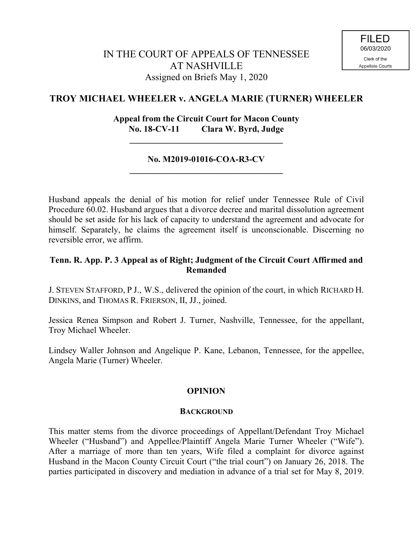# **TROY MICHAEL WHEELER v. ANGELA MARIE (TURNER) WHEELER**

# **Appeal from the Circuit Court for Macon County No. 18-CV-11 Clara W. Byrd, Judge**

**\_\_\_\_\_\_\_\_\_\_\_\_\_\_\_\_\_\_\_\_\_\_\_\_\_\_\_\_\_\_\_\_\_\_\_**

# **No. M2019-01016-COA-R3-CV \_\_\_\_\_\_\_\_\_\_\_\_\_\_\_\_\_\_\_\_\_\_\_\_\_\_\_\_\_\_\_\_\_\_\_**

Husband appeals the denial of his motion for relief under Tennessee Rule of Civil Procedure 60.02. Husband argues that a divorce decree and marital dissolution agreement should be set aside for his lack of capacity to understand the agreement and advocate for himself. Separately, he claims the agreement itself is unconscionable. Discerning no reversible error, we affirm.

# **Tenn. R. App. P. 3 Appeal as of Right; Judgment of the Circuit Court Affirmed and Remanded**

J. STEVEN STAFFORD, P J., W.S., delivered the opinion of the court, in which RICHARD H. DINKINS, and THOMAS R. FRIERSON, II, JJ., joined.

Jessica Renea Simpson and Robert J. Turner, Nashville, Tennessee, for the appellant, Troy Michael Wheeler.

Lindsey Waller Johnson and Angelique P. Kane, Lebanon, Tennessee, for the appellee, Angela Marie (Turner) Wheeler.

# **OPINION**

## **BACKGROUND**

This matter stems from the divorce proceedings of Appellant/Defendant Troy Michael Wheeler ("Husband") and Appellee/Plaintiff Angela Marie Turner Wheeler ("Wife"). After a marriage of more than ten years, Wife filed a complaint for divorce against Husband in the Macon County Circuit Court ("the trial court") on January 26, 2018. The parties participated in discovery and mediation in advance of a trial set for May 8, 2019.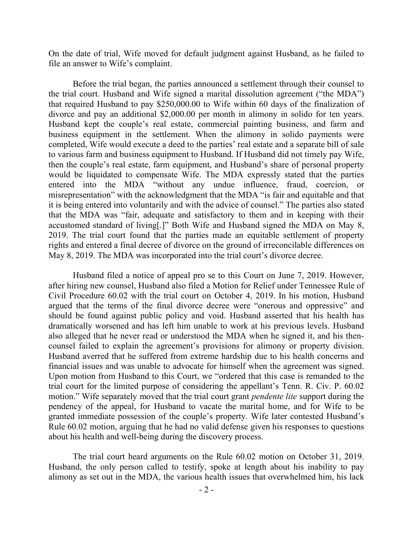On the date of trial, Wife moved for default judgment against Husband, as he failed to file an answer to Wife's complaint.

Before the trial began, the parties announced a settlement through their counsel to the trial court. Husband and Wife signed a marital dissolution agreement ("the MDA") that required Husband to pay \$250,000.00 to Wife within 60 days of the finalization of divorce and pay an additional \$2,000.00 per month in alimony in solido for ten years. Husband kept the couple's real estate, commercial painting business, and farm and business equipment in the settlement. When the alimony in solido payments were completed, Wife would execute a deed to the parties' real estate and a separate bill of sale to various farm and business equipment to Husband. If Husband did not timely pay Wife, then the couple's real estate, farm equipment, and Husband's share of personal property would be liquidated to compensate Wife. The MDA expressly stated that the parties entered into the MDA "without any undue influence, fraud, coercion, or misrepresentation" with the acknowledgment that the MDA "is fair and equitable and that it is being entered into voluntarily and with the advice of counsel." The parties also stated that the MDA was "fair, adequate and satisfactory to them and in keeping with their accustomed standard of living[.]" Both Wife and Husband signed the MDA on May 8, 2019. The trial court found that the parties made an equitable settlement of property rights and entered a final decree of divorce on the ground of irreconcilable differences on May 8, 2019. The MDA was incorporated into the trial court's divorce decree.

Husband filed a notice of appeal pro se to this Court on June 7, 2019. However, after hiring new counsel, Husband also filed a Motion for Relief under Tennessee Rule of Civil Procedure 60.02 with the trial court on October 4, 2019. In his motion, Husband argued that the terms of the final divorce decree were "onerous and oppressive" and should be found against public policy and void. Husband asserted that his health has dramatically worsened and has left him unable to work at his previous levels. Husband also alleged that he never read or understood the MDA when he signed it, and his thencounsel failed to explain the agreement's provisions for alimony or property division. Husband averred that he suffered from extreme hardship due to his health concerns and financial issues and was unable to advocate for himself when the agreement was signed. Upon motion from Husband to this Court, we "ordered that this case is remanded to the trial court for the limited purpose of considering the appellant's Tenn. R. Civ. P. 60.02 motion." Wife separately moved that the trial court grant *pendente lite* support during the pendency of the appeal, for Husband to vacate the marital home, and for Wife to be granted immediate possession of the couple's property. Wife later contested Husband's Rule 60.02 motion, arguing that he had no valid defense given his responses to questions about his health and well-being during the discovery process.

The trial court heard arguments on the Rule 60.02 motion on October 31, 2019. Husband, the only person called to testify, spoke at length about his inability to pay alimony as set out in the MDA, the various health issues that overwhelmed him, his lack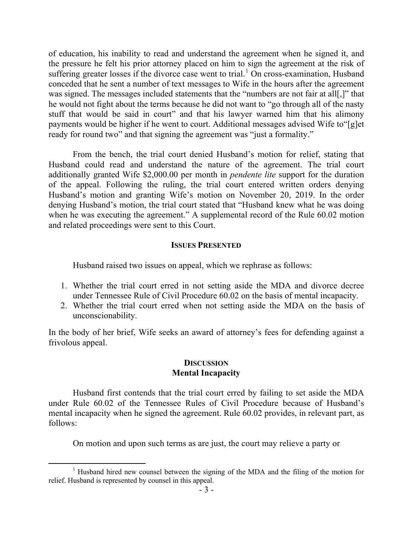of education, his inability to read and understand the agreement when he signed it, and the pressure he felt his prior attorney placed on him to sign the agreement at the risk of suffering greater losses if the divorce case went to trial.<sup>1</sup> On cross-examination, Husband conceded that he sent a number of text messages to Wife in the hours after the agreement was signed. The messages included statements that the "numbers are not fair at all[,]" that he would not fight about the terms because he did not want to "go through all of the nasty stuff that would be said in court" and that his lawyer warned him that his alimony payments would be higher if he went to court. Additional messages advised Wife to"[g]et ready for round two" and that signing the agreement was "just a formality."

From the bench, the trial court denied Husband's motion for relief, stating that Husband could read and understand the nature of the agreement. The trial court additionally granted Wife \$2,000.00 per month in *pendente lite* support for the duration of the appeal. Following the ruling, the trial court entered written orders denying Husband's motion and granting Wife's motion on November 20, 2019. In the order denying Husband's motion, the trial court stated that "Husband knew what he was doing when he was executing the agreement." A supplemental record of the Rule 60.02 motion and related proceedings were sent to this Court.

### **ISSUES PRESENTED**

Husband raised two issues on appeal, which we rephrase as follows:

- 1. Whether the trial court erred in not setting aside the MDA and divorce decree under Tennessee Rule of Civil Procedure 60.02 on the basis of mental incapacity.
- 2. Whether the trial court erred when not setting aside the MDA on the basis of unconscionability.

In the body of her brief, Wife seeks an award of attorney's fees for defending against a frivolous appeal.

## **DISCUSSION Mental Incapacity**

Husband first contends that the trial court erred by failing to set aside the MDA under Rule 60.02 of the Tennessee Rules of Civil Procedure because of Husband's mental incapacity when he signed the agreement. Rule 60.02 provides, in relevant part, as follows:

On motion and upon such terms as are just, the court may relieve a party or

<sup>&</sup>lt;sup>1</sup> Husband hired new counsel between the signing of the MDA and the filing of the motion for relief. Husband is represented by counsel in this appeal.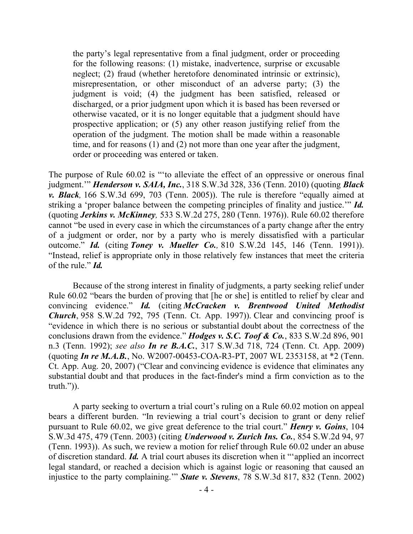the party's legal representative from a final judgment, order or proceeding for the following reasons: (1) mistake, inadvertence, surprise or excusable neglect; (2) fraud (whether heretofore denominated intrinsic or extrinsic), misrepresentation, or other misconduct of an adverse party; (3) the judgment is void; (4) the judgment has been satisfied, released or discharged, or a prior judgment upon which it is based has been reversed or otherwise vacated, or it is no longer equitable that a judgment should have prospective application; or (5) any other reason justifying relief from the operation of the judgment. The motion shall be made within a reasonable time, and for reasons (1) and (2) not more than one year after the judgment, order or proceeding was entered or taken.

The purpose of Rule 60.02 is "'to alleviate the effect of an oppressive or onerous final judgment.'" *Henderson v. SAIA, Inc.*, 318 S.W.3d 328, 336 (Tenn. 2010) (quoting *Black v. Black,* 166 S.W.3d 699, 703 (Tenn. 2005)). The rule is therefore "equally aimed at striking a 'proper balance between the competing principles of finality and justice.'" *Id.* (quoting *Jerkins v. McKinney,* 533 S.W.2d 275, 280 (Tenn. 1976)). Rule 60.02 therefore cannot "be used in every case in which the circumstances of a party change after the entry of a judgment or order, nor by a party who is merely dissatisfied with a particular outcome." *Id.* (citing *Toney v. Mueller Co.,* 810 S.W.2d 145, 146 (Tenn. 1991)). "Instead, relief is appropriate only in those relatively few instances that meet the criteria of the rule." *Id.*

Because of the strong interest in finality of judgments, a party seeking relief under Rule 60.02 "bears the burden of proving that [he or she] is entitled to relief by clear and convincing evidence." *Id.* (citing *McCracken v. Brentwood United Methodist Church*, 958 S.W.2d 792, 795 (Tenn. Ct. App. 1997)). Clear and convincing proof is "evidence in which there is no serious or substantial doubt about the correctness of the conclusions drawn from the evidence." *Hodges v. S.C. Toof & Co.*, 833 S.W.2d 896, 901 n.3 (Tenn. 1992); *see also In re B.A.C.*, 317 S.W.3d 718, 724 (Tenn. Ct. App. 2009) (quoting *In re M.A.B.*, No. W2007-00453-COA-R3-PT, 2007 WL 2353158, at \*2 (Tenn. Ct. App. Aug. 20, 2007) ("Clear and convincing evidence is evidence that eliminates any substantial doubt and that produces in the fact-finder's mind a firm conviction as to the truth.")).

A party seeking to overturn a trial court's ruling on a Rule 60.02 motion on appeal bears a different burden. "In reviewing a trial court's decision to grant or deny relief pursuant to Rule 60.02, we give great deference to the trial court." *Henry v. Goins*, 104 S.W.3d 475, 479 (Tenn. 2003) (citing *Underwood v. Zurich Ins. Co.*, 854 S.W.2d 94, 97 (Tenn. 1993)). As such, we review a motion for relief through Rule 60.02 under an abuse of discretion standard. *Id.* A trial court abuses its discretion when it "'applied an incorrect legal standard, or reached a decision which is against logic or reasoning that caused an injustice to the party complaining.'" *State v. Stevens*, 78 S.W.3d 817, 832 (Tenn. 2002)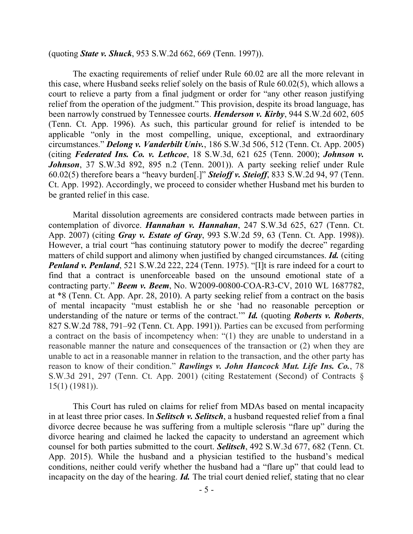(quoting *State v. Shuck*, 953 S.W.2d 662, 669 (Tenn. 1997)).

The exacting requirements of relief under Rule 60.02 are all the more relevant in this case, where Husband seeks relief solely on the basis of Rule 60.02(5), which allows a court to relieve a party from a final judgment or order for "any other reason justifying relief from the operation of the judgment." This provision, despite its broad language, has been narrowly construed by Tennessee courts. *Henderson v. Kirby*, 944 S.W.2d 602, 605 (Tenn. Ct. App. 1996). As such, this particular ground for relief is intended to be applicable "only in the most compelling, unique, exceptional, and extraordinary circumstances." *Delong v. Vanderbilt Univ.*, 186 S.W.3d 506, 512 (Tenn. Ct. App. 2005) (citing *Federated Ins. Co. v. Lethcoe*, 18 S.W.3d, 621 625 (Tenn. 2000); *Johnson v. Johnson*, 37 S.W.3d 892, 895 n.2 (Tenn. 2001)). A party seeking relief under Rule 60.02(5) therefore bears a "heavy burden[.]" *Steioff v. Steioff*, 833 S.W.2d 94, 97 (Tenn. Ct. App. 1992). Accordingly, we proceed to consider whether Husband met his burden to be granted relief in this case.

Marital dissolution agreements are considered contracts made between parties in contemplation of divorce. *Hannahan v. Hannahan*, 247 S.W.3d 625, 627 (Tenn. Ct. App. 2007) (citing *Gray v. Estate of Gray*, 993 S.W.2d 59, 63 (Tenn. Ct. App. 1998)). However, a trial court "has continuing statutory power to modify the decree" regarding matters of child support and alimony when justified by changed circumstances. *Id.* (citing *Penland v. Penland*, 521 S.W.2d 222, 224 (Tenn. 1975). "[I]t is rare indeed for a court to find that a contract is unenforceable based on the unsound emotional state of a contracting party." *Beem v. Beem*, No. W2009-00800-COA-R3-CV, 2010 WL 1687782, at \*8 (Tenn. Ct. App. Apr. 28, 2010). A party seeking relief from a contract on the basis of mental incapacity "must establish he or she 'had no reasonable perception or understanding of the nature or terms of the contract.'" *Id.* (quoting *Roberts v. Roberts*, 827 S.W.2d 788, 791–92 (Tenn. Ct. App. 1991)). Parties can be excused from performing a contract on the basis of incompetency when: "(1) they are unable to understand in a reasonable manner the nature and consequences of the transaction or (2) when they are unable to act in a reasonable manner in relation to the transaction, and the other party has reason to know of their condition." *Rawlings v. John Hancock Mut. Life Ins. Co.*, 78 S.W.3d 291, 297 (Tenn. Ct. App. 2001) (citing Restatement (Second) of Contracts § 15(1) (1981)).

This Court has ruled on claims for relief from MDAs based on mental incapacity in at least three prior cases. In *Selitsch v. Selitsch*, a husband requested relief from a final divorce decree because he was suffering from a multiple sclerosis "flare up" during the divorce hearing and claimed he lacked the capacity to understand an agreement which counsel for both parties submitted to the court. *Selitsch*, 492 S.W.3d 677, 682 (Tenn. Ct. App. 2015). While the husband and a physician testified to the husband's medical conditions, neither could verify whether the husband had a "flare up" that could lead to incapacity on the day of the hearing. *Id.* The trial court denied relief, stating that no clear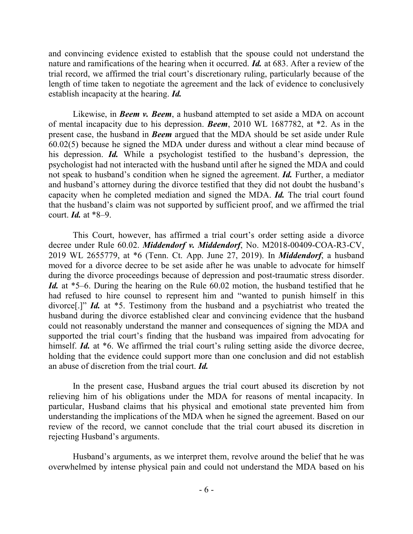and convincing evidence existed to establish that the spouse could not understand the nature and ramifications of the hearing when it occurred. *Id.* at 683. After a review of the trial record, we affirmed the trial court's discretionary ruling, particularly because of the length of time taken to negotiate the agreement and the lack of evidence to conclusively establish incapacity at the hearing. *Id.*

Likewise, in *Beem v. Beem*, a husband attempted to set aside a MDA on account of mental incapacity due to his depression. *Beem*, 2010 WL 1687782, at \*2. As in the present case, the husband in *Beem* argued that the MDA should be set aside under Rule 60.02(5) because he signed the MDA under duress and without a clear mind because of his depression. *Id.* While a psychologist testified to the husband's depression, the psychologist had not interacted with the husband until after he signed the MDA and could not speak to husband's condition when he signed the agreement. *Id.* Further, a mediator and husband's attorney during the divorce testified that they did not doubt the husband's capacity when he completed mediation and signed the MDA. *Id.* The trial court found that the husband's claim was not supported by sufficient proof, and we affirmed the trial court. *Id.* at \*8–9.

This Court, however, has affirmed a trial court's order setting aside a divorce decree under Rule 60.02. *Middendorf v. Middendorf*, No. M2018-00409-COA-R3-CV, 2019 WL 2655779, at \*6 (Tenn. Ct. App. June 27, 2019). In *Middendorf*, a husband moved for a divorce decree to be set aside after he was unable to advocate for himself during the divorce proceedings because of depression and post-traumatic stress disorder. *Id.* at \*5–6. During the hearing on the Rule 60.02 motion, the husband testified that he had refused to hire counsel to represent him and "wanted to punish himself in this divorce[.]" *Id.* at \*5. Testimony from the husband and a psychiatrist who treated the husband during the divorce established clear and convincing evidence that the husband could not reasonably understand the manner and consequences of signing the MDA and supported the trial court's finding that the husband was impaired from advocating for himself. *Id.* at \*6. We affirmed the trial court's ruling setting aside the divorce decree, holding that the evidence could support more than one conclusion and did not establish an abuse of discretion from the trial court. *Id.*

In the present case, Husband argues the trial court abused its discretion by not relieving him of his obligations under the MDA for reasons of mental incapacity. In particular, Husband claims that his physical and emotional state prevented him from understanding the implications of the MDA when he signed the agreement. Based on our review of the record, we cannot conclude that the trial court abused its discretion in rejecting Husband's arguments.

Husband's arguments, as we interpret them, revolve around the belief that he was overwhelmed by intense physical pain and could not understand the MDA based on his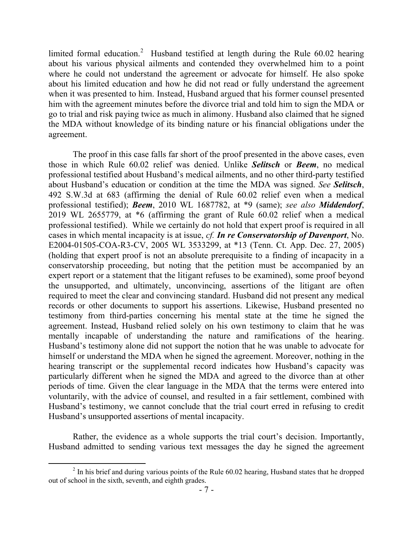limited formal education.<sup>2</sup> Husband testified at length during the Rule  $60.02$  hearing about his various physical ailments and contended they overwhelmed him to a point where he could not understand the agreement or advocate for himself. He also spoke about his limited education and how he did not read or fully understand the agreement when it was presented to him. Instead, Husband argued that his former counsel presented him with the agreement minutes before the divorce trial and told him to sign the MDA or go to trial and risk paying twice as much in alimony. Husband also claimed that he signed the MDA without knowledge of its binding nature or his financial obligations under the agreement.

The proof in this case falls far short of the proof presented in the above cases, even those in which Rule 60.02 relief was denied. Unlike *Selitsch* or *Beem*, no medical professional testified about Husband's medical ailments, and no other third-party testified about Husband's education or condition at the time the MDA was signed. *See Selitsch*, 492 S.W.3d at 683 (affirming the denial of Rule 60.02 relief even when a medical professional testified); *Beem*, 2010 WL 1687782, at \*9 (same); *see also Middendorf*, 2019 WL 2655779, at \*6 (affirming the grant of Rule 60.02 relief when a medical professional testified). While we certainly do not hold that expert proof is required in all cases in which mental incapacity is at issue, *cf. In re Conservatorship of Davenport*, No. E2004-01505-COA-R3-CV, 2005 WL 3533299, at \*13 (Tenn. Ct. App. Dec. 27, 2005) (holding that expert proof is not an absolute prerequisite to a finding of incapacity in a conservatorship proceeding, but noting that the petition must be accompanied by an expert report or a statement that the litigant refuses to be examined), some proof beyond the unsupported, and ultimately, unconvincing, assertions of the litigant are often required to meet the clear and convincing standard. Husband did not present any medical records or other documents to support his assertions. Likewise, Husband presented no testimony from third-parties concerning his mental state at the time he signed the agreement. Instead, Husband relied solely on his own testimony to claim that he was mentally incapable of understanding the nature and ramifications of the hearing. Husband's testimony alone did not support the notion that he was unable to advocate for himself or understand the MDA when he signed the agreement. Moreover, nothing in the hearing transcript or the supplemental record indicates how Husband's capacity was particularly different when he signed the MDA and agreed to the divorce than at other periods of time. Given the clear language in the MDA that the terms were entered into voluntarily, with the advice of counsel, and resulted in a fair settlement, combined with Husband's testimony, we cannot conclude that the trial court erred in refusing to credit Husband's unsupported assertions of mental incapacity.

Rather, the evidence as a whole supports the trial court's decision. Importantly, Husband admitted to sending various text messages the day he signed the agreement

 $2 \text{ In his brief and during various points of the Rule 60.02 hearing, Husband states that he dropped.}$ out of school in the sixth, seventh, and eighth grades.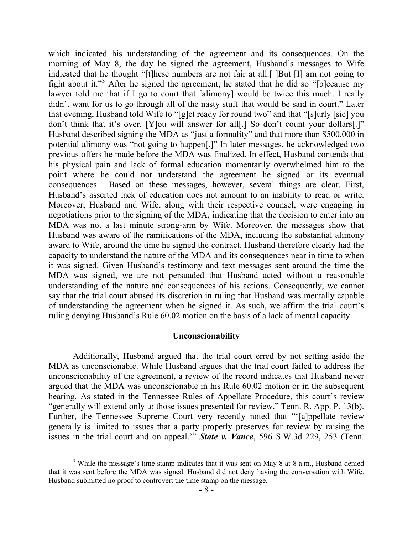which indicated his understanding of the agreement and its consequences. On the morning of May 8, the day he signed the agreement, Husband's messages to Wife indicated that he thought "[t]hese numbers are not fair at all.[ ]But [I] am not going to fight about it."<sup>3</sup> After he signed the agreement, he stated that he did so "[b]ecause my lawyer told me that if I go to court that [alimony] would be twice this much. I really didn't want for us to go through all of the nasty stuff that would be said in court." Later that evening, Husband told Wife to "[g]et ready for round two" and that "[s]urly [sic] you don't think that it's over. [Y]ou will answer for all[.] So don't count your dollars[.]" Husband described signing the MDA as "just a formality" and that more than \$500,000 in potential alimony was "not going to happen[.]" In later messages, he acknowledged two previous offers he made before the MDA was finalized. In effect, Husband contends that his physical pain and lack of formal education momentarily overwhelmed him to the point where he could not understand the agreement he signed or its eventual consequences. Based on these messages, however, several things are clear. First, Husband's asserted lack of education does not amount to an inability to read or write. Moreover, Husband and Wife, along with their respective counsel, were engaging in negotiations prior to the signing of the MDA, indicating that the decision to enter into an MDA was not a last minute strong-arm by Wife. Moreover, the messages show that Husband was aware of the ramifications of the MDA, including the substantial alimony award to Wife, around the time he signed the contract. Husband therefore clearly had the capacity to understand the nature of the MDA and its consequences near in time to when it was signed. Given Husband's testimony and text messages sent around the time the MDA was signed, we are not persuaded that Husband acted without a reasonable understanding of the nature and consequences of his actions. Consequently, we cannot say that the trial court abused its discretion in ruling that Husband was mentally capable of understanding the agreement when he signed it. As such, we affirm the trial court's ruling denying Husband's Rule 60.02 motion on the basis of a lack of mental capacity.

### **Unconscionability**

Additionally, Husband argued that the trial court erred by not setting aside the MDA as unconscionable. While Husband argues that the trial court failed to address the unconscionability of the agreement, a review of the record indicates that Husband never argued that the MDA was unconscionable in his Rule 60.02 motion or in the subsequent hearing. As stated in the Tennessee Rules of Appellate Procedure, this court's review "generally will extend only to those issues presented for review." Tenn. R. App. P. 13(b). Further, the Tennessee Supreme Court very recently noted that "'[a]ppellate review generally is limited to issues that a party properly preserves for review by raising the issues in the trial court and on appeal.'" *State v. Vance*, 596 S.W.3d 229, 253 (Tenn.

<sup>&</sup>lt;sup>3</sup> While the message's time stamp indicates that it was sent on May 8 at 8 a.m., Husband denied that it was sent before the MDA was signed. Husband did not deny having the conversation with Wife. Husband submitted no proof to controvert the time stamp on the message.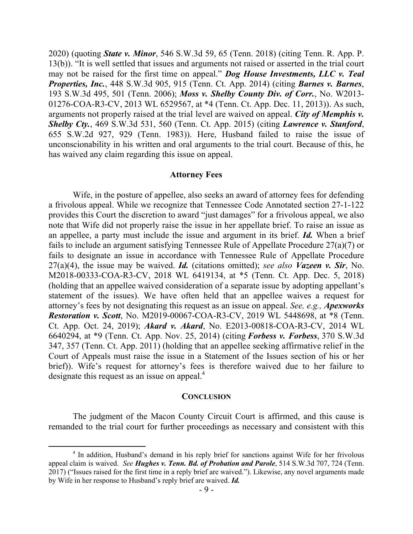2020) (quoting *State v. Minor*, 546 S.W.3d 59, 65 (Tenn. 2018) (citing Tenn. R. App. P. 13(b)). "It is well settled that issues and arguments not raised or asserted in the trial court may not be raised for the first time on appeal." *Dog House Investments, LLC v. Teal Properties, Inc.*, 448 S.W.3d 905, 915 (Tenn. Ct. App. 2014) (citing *Barnes v. Barnes*, 193 S.W.3d 495, 501 (Tenn. 2006); *Moss v. Shelby County Div. of Corr.*, No. W2013- 01276-COA-R3-CV, 2013 WL 6529567, at \*4 (Tenn. Ct. App. Dec. 11, 2013)). As such, arguments not properly raised at the trial level are waived on appeal. *City of Memphis v. Shelby Cty.*, 469 S.W.3d 531, 560 (Tenn. Ct. App. 2015) (citing *Lawrence v. Stanford*, 655 S.W.2d 927, 929 (Tenn. 1983)). Here, Husband failed to raise the issue of unconscionability in his written and oral arguments to the trial court. Because of this, he has waived any claim regarding this issue on appeal.

#### **Attorney Fees**

Wife, in the posture of appellee, also seeks an award of attorney fees for defending a frivolous appeal. While we recognize that Tennessee Code Annotated section 27-1-122 provides this Court the discretion to award "just damages" for a frivolous appeal, we also note that Wife did not properly raise the issue in her appellate brief. To raise an issue as an appellee, a party must include the issue and argument in its brief. *Id.* When a brief fails to include an argument satisfying Tennessee Rule of Appellate Procedure 27(a)(7) or fails to designate an issue in accordance with Tennessee Rule of Appellate Procedure 27(a)(4), the issue may be waived. *Id.* (citations omitted); *see also Vazeen v. Sir*, No. M2018-00333-COA-R3-CV, 2018 WL 6419134, at \*5 (Tenn. Ct. App. Dec. 5, 2018) (holding that an appellee waived consideration of a separate issue by adopting appellant's statement of the issues). We have often held that an appellee waives a request for attorney's fees by not designating this request as an issue on appeal. *See, e.g., Apexworks Restoration v. Scott*, No. M2019-00067-COA-R3-CV, 2019 WL 5448698, at \*8 (Tenn. Ct. App. Oct. 24, 2019); *Akard v. Akard*, No. E2013-00818-COA-R3-CV, 2014 WL 6640294, at \*9 (Tenn. Ct. App. Nov. 25, 2014) (citing *Forbess v. Forbess*, 370 S.W.3d 347, 357 (Tenn. Ct. App. 2011) (holding that an appellee seeking affirmative relief in the Court of Appeals must raise the issue in a Statement of the Issues section of his or her brief)). Wife's request for attorney's fees is therefore waived due to her failure to designate this request as an issue on appeal.<sup>4</sup>

### **CONCLUSION**

The judgment of the Macon County Circuit Court is affirmed, and this cause is remanded to the trial court for further proceedings as necessary and consistent with this

<sup>&</sup>lt;sup>4</sup> In addition, Husband's demand in his reply brief for sanctions against Wife for her frivolous appeal claim is waived. *See Hughes v. Tenn. Bd. of Probation and Parole*, 514 S.W.3d 707, 724 (Tenn. 2017) ("Issues raised for the first time in a reply brief are waived."). Likewise, any novel arguments made by Wife in her response to Husband's reply brief are waived. *Id.*